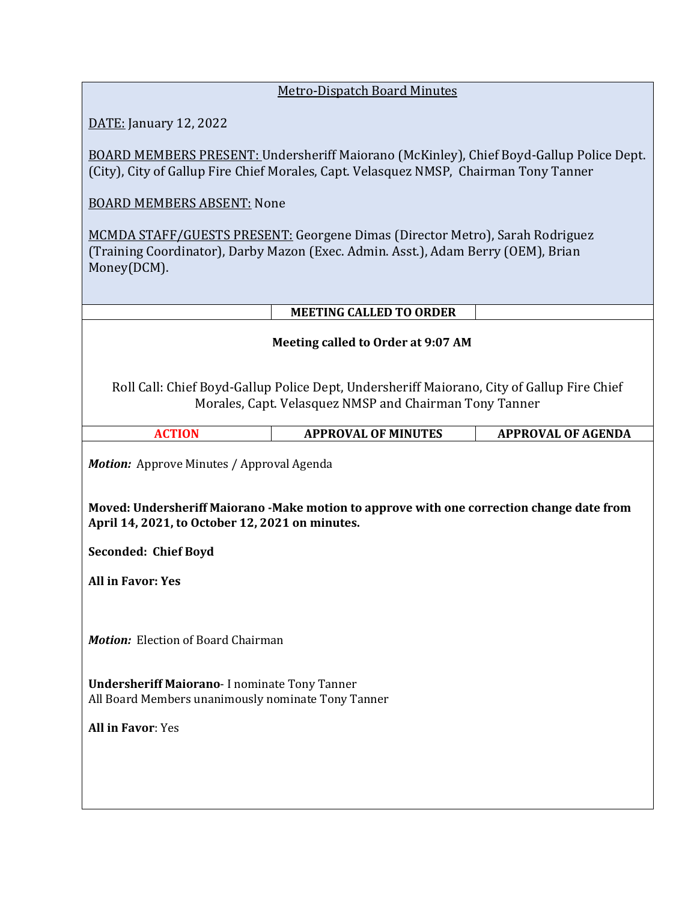| <b>Metro-Dispatch Board Minutes</b> |  |
|-------------------------------------|--|
|                                     |  |

DATE: January 12, 2022

BOARD MEMBERS PRESENT: Undersheriff Maiorano (McKinley), Chief Boyd-Gallup Police Dept. (City), City of Gallup Fire Chief Morales, Capt. Velasquez NMSP, Chairman Tony Tanner

BOARD MEMBERS ABSENT: None

MCMDA STAFF/GUESTS PRESENT: Georgene Dimas (Director Metro), Sarah Rodriguez (Training Coordinator), Darby Mazon (Exec. Admin. Asst.), Adam Berry (OEM), Brian Money(DCM).

|                                                                                                                                                                                                   | <b>MEETING CALLED TO ORDER</b> |                           |  |  |  |
|---------------------------------------------------------------------------------------------------------------------------------------------------------------------------------------------------|--------------------------------|---------------------------|--|--|--|
| Meeting called to Order at 9:07 AM                                                                                                                                                                |                                |                           |  |  |  |
| Roll Call: Chief Boyd-Gallup Police Dept, Undersheriff Maiorano, City of Gallup Fire Chief<br>Morales, Capt. Velasquez NMSP and Chairman Tony Tanner                                              |                                |                           |  |  |  |
| <b>ACTION</b>                                                                                                                                                                                     | <b>APPROVAL OF MINUTES</b>     | <b>APPROVAL OF AGENDA</b> |  |  |  |
| <b>Motion:</b> Approve Minutes / Approval Agenda<br>Moved: Undersheriff Maiorano - Make motion to approve with one correction change date from<br>April 14, 2021, to October 12, 2021 on minutes. |                                |                           |  |  |  |
| <b>Seconded: Chief Boyd</b>                                                                                                                                                                       |                                |                           |  |  |  |
| <b>All in Favor: Yes</b>                                                                                                                                                                          |                                |                           |  |  |  |
|                                                                                                                                                                                                   |                                |                           |  |  |  |

*Motion:* Election of Board Chairman

**Undersheriff Maiorano**- I nominate Tony Tanner All Board Members unanimously nominate Tony Tanner

**All in Favor**: Yes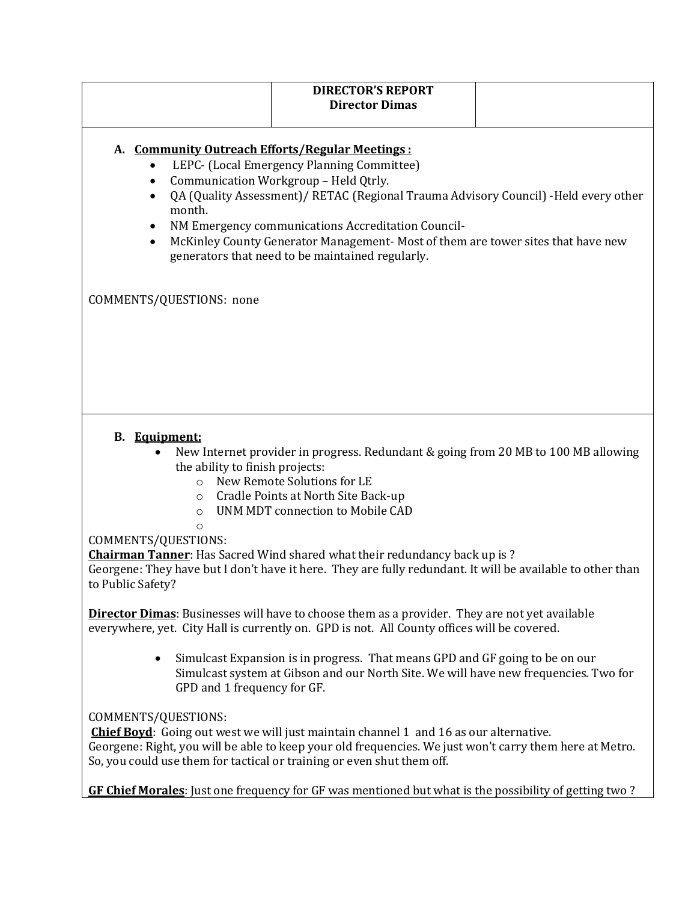|                                                                                                                                                | <b>DIRECTOR'S REPORT</b><br><b>Director Dimas</b>                                                                                                                                                                                                                                                                                |  |
|------------------------------------------------------------------------------------------------------------------------------------------------|----------------------------------------------------------------------------------------------------------------------------------------------------------------------------------------------------------------------------------------------------------------------------------------------------------------------------------|--|
| A. Community Outreach Efforts/Regular Meetings:<br>Communication Workgroup - Held Qtrly.<br>$\bullet$<br>$\bullet$<br>month.<br>٠<br>$\bullet$ | LEPC- (Local Emergency Planning Committee)<br>QA (Quality Assessment)/ RETAC (Regional Trauma Advisory Council) - Held every other<br>NM Emergency communications Accreditation Council-<br>McKinley County Generator Management- Most of them are tower sites that have new<br>generators that need to be maintained regularly. |  |
| COMMENTS/QUESTIONS: none                                                                                                                       |                                                                                                                                                                                                                                                                                                                                  |  |
|                                                                                                                                                |                                                                                                                                                                                                                                                                                                                                  |  |
|                                                                                                                                                |                                                                                                                                                                                                                                                                                                                                  |  |
| <b>B.</b> Equipment:<br>the ability to finish projects:<br>$\circ$<br>$\circ$<br>$\circ$                                                       | New Internet provider in progress. Redundant & going from 20 MB to 100 MB allowing<br>New Remote Solutions for LE<br>Cradle Points at North Site Back-up<br>UNM MDT connection to Mobile CAD                                                                                                                                     |  |
| O<br>COMMENTS/QUESTIONS:<br>to Public Safety?                                                                                                  | Chairman Tanner: Has Sacred Wind shared what their redundancy back up is?<br>Georgene: They have but I don't have it here. They are fully redundant. It will be available to other than                                                                                                                                          |  |
|                                                                                                                                                | <b>Director Dimas:</b> Businesses will have to choose them as a provider. They are not yet available<br>everywhere, yet. City Hall is currently on. GPD is not. All County offices will be covered.                                                                                                                              |  |
| GPD and 1 frequency for GF.                                                                                                                    | Simulcast Expansion is in progress. That means GPD and GF going to be on our<br>Simulcast system at Gibson and our North Site. We will have new frequencies. Two for                                                                                                                                                             |  |
| COMMENTS/QUESTIONS:<br>So, you could use them for tactical or training or even shut them off.                                                  | <b>Chief Boyd:</b> Going out west we will just maintain channel 1 and 16 as our alternative.<br>Georgene: Right, you will be able to keep your old frequencies. We just won't carry them here at Metro.                                                                                                                          |  |
|                                                                                                                                                | GF Chief Morales: Just one frequency for GF was mentioned but what is the possibility of getting two?                                                                                                                                                                                                                            |  |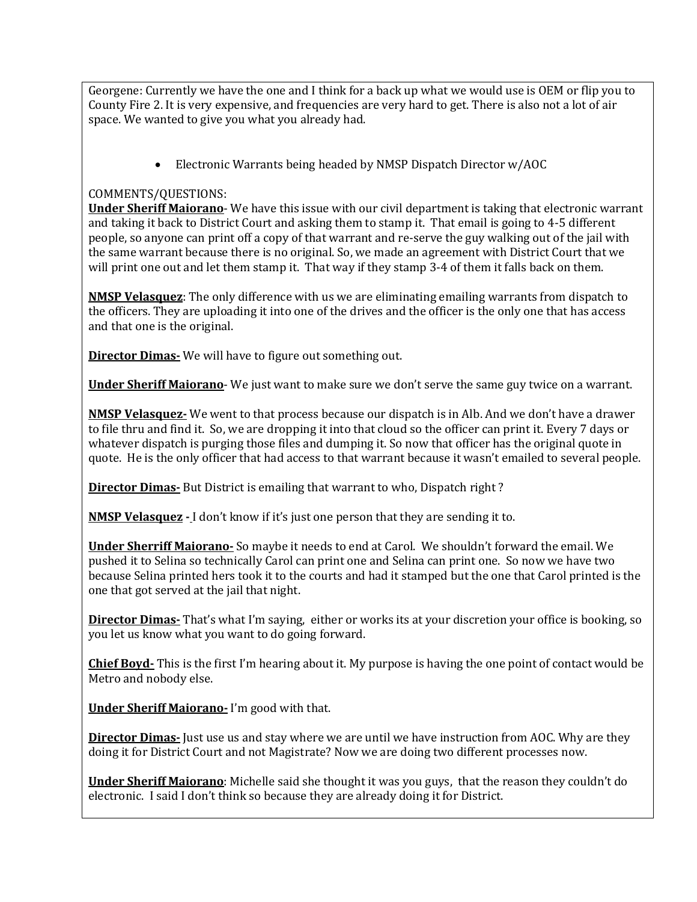Georgene: Currently we have the one and I think for a back up what we would use is OEM or flip you to County Fire 2. It is very expensive, and frequencies are very hard to get. There is also not a lot of air space. We wanted to give you what you already had.

• Electronic Warrants being headed by NMSP Dispatch Director w/AOC

# COMMENTS/QUESTIONS:

**Under Sheriff Maiorano**- We have this issue with our civil department is taking that electronic warrant and taking it back to District Court and asking them to stamp it. That email is going to 4-5 different people, so anyone can print off a copy of that warrant and re-serve the guy walking out of the jail with the same warrant because there is no original. So, we made an agreement with District Court that we will print one out and let them stamp it. That way if they stamp 3-4 of them it falls back on them.

**NMSP Velasquez**: The only difference with us we are eliminating emailing warrants from dispatch to the officers. They are uploading it into one of the drives and the officer is the only one that has access and that one is the original.

**Director Dimas-** We will have to figure out something out.

**Under Sheriff Maiorano**- We just want to make sure we don't serve the same guy twice on a warrant.

**NMSP Velasquez-** We went to that process because our dispatch is in Alb. And we don't have a drawer to file thru and find it. So, we are dropping it into that cloud so the officer can print it. Every 7 days or whatever dispatch is purging those files and dumping it. So now that officer has the original quote in quote. He is the only officer that had access to that warrant because it wasn't emailed to several people.

**Director Dimas-** But District is emailing that warrant to who, Dispatch right ?

**NMSP Velasquez -** I don't know if it's just one person that they are sending it to.

**Under Sherriff Maiorano-** So maybe it needs to end at Carol. We shouldn't forward the email. We pushed it to Selina so technically Carol can print one and Selina can print one. So now we have two because Selina printed hers took it to the courts and had it stamped but the one that Carol printed is the one that got served at the jail that night.

**Director Dimas-** That's what I'm saying, either or works its at your discretion your office is booking, so you let us know what you want to do going forward.

**Chief Boyd-** This is the first I'm hearing about it. My purpose is having the one point of contact would be Metro and nobody else.

**Under Sheriff Maiorano-** I'm good with that.

**Director Dimas-** Just use us and stay where we are until we have instruction from AOC. Why are they doing it for District Court and not Magistrate? Now we are doing two different processes now.

**Under Sheriff Maiorano**: Michelle said she thought it was you guys, that the reason they couldn't do electronic. I said I don't think so because they are already doing it for District.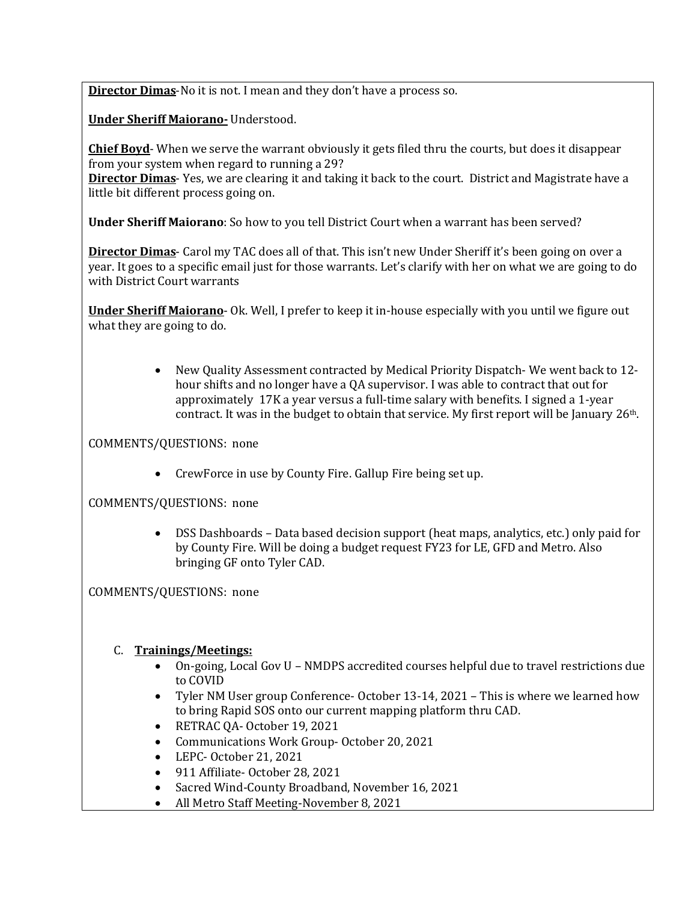**Director Dimas**-No it is not. I mean and they don't have a process so.

**Under Sheriff Maiorano-** Understood.

**Chief Boyd**- When we serve the warrant obviously it gets filed thru the courts, but does it disappear from your system when regard to running a 29?

**Director Dimas**- Yes, we are clearing it and taking it back to the court. District and Magistrate have a little bit different process going on.

**Under Sheriff Maiorano**: So how to you tell District Court when a warrant has been served?

**Director Dimas**- Carol my TAC does all of that. This isn't new Under Sheriff it's been going on over a year. It goes to a specific email just for those warrants. Let's clarify with her on what we are going to do with District Court warrants

**Under Sheriff Maiorano**- Ok. Well, I prefer to keep it in-house especially with you until we figure out what they are going to do.

> • New Quality Assessment contracted by Medical Priority Dispatch- We went back to 12 hour shifts and no longer have a QA supervisor. I was able to contract that out for approximately 17K a year versus a full-time salary with benefits. I signed a 1-year contract. It was in the budget to obtain that service. My first report will be January 26<sup>th</sup>.

COMMENTS/QUESTIONS: none

• CrewForce in use by County Fire. Gallup Fire being set up.

COMMENTS/QUESTIONS: none

• DSS Dashboards – Data based decision support (heat maps, analytics, etc.) only paid for by County Fire. Will be doing a budget request FY23 for LE, GFD and Metro. Also bringing GF onto Tyler CAD.

COMMENTS/QUESTIONS: none

### C. **Trainings/Meetings:**

- On-going, Local Gov U NMDPS accredited courses helpful due to travel restrictions due to COVID
- Tyler NM User group Conference- October 13-14, 2021 This is where we learned how to bring Rapid SOS onto our current mapping platform thru CAD.
- RETRAC QA- October 19, 2021
- Communications Work Group- October 20, 2021
- LEPC- October 21, 2021
- 911 Affiliate- October 28, 2021
- Sacred Wind-County Broadband, November 16, 2021
- All Metro Staff Meeting-November 8, 2021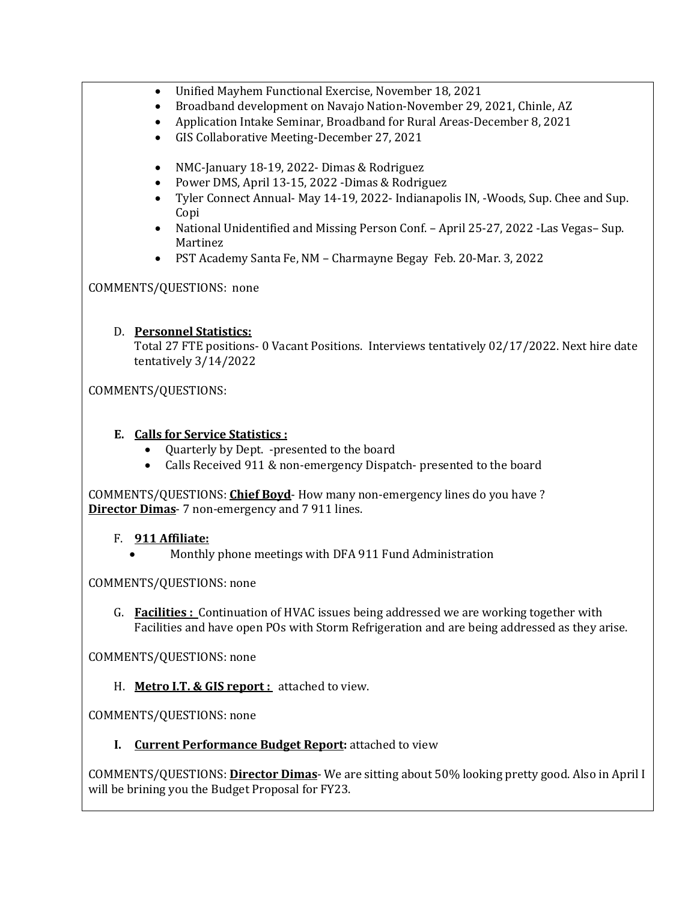- Unified Mayhem Functional Exercise, November 18, 2021
- Broadband development on Navajo Nation-November 29, 2021, Chinle, AZ
- Application Intake Seminar, Broadband for Rural Areas-December 8, 2021
- GIS Collaborative Meeting-December 27, 2021
- NMC-January 18-19, 2022- Dimas & Rodriguez
- Power DMS, April 13-15, 2022 -Dimas & Rodriguez
- Tyler Connect Annual- May 14-19, 2022- Indianapolis IN, -Woods, Sup. Chee and Sup. Copi
- National Unidentified and Missing Person Conf. April 25-27, 2022 -Las Vegas– Sup. Martinez
- PST Academy Santa Fe, NM Charmayne Begay Feb. 20-Mar. 3, 2022

# COMMENTS/QUESTIONS: none

# D. **Personnel Statistics:**

Total 27 FTE positions- 0 Vacant Positions. Interviews tentatively 02/17/2022. Next hire date tentatively 3/14/2022

COMMENTS/QUESTIONS:

# **E. Calls for Service Statistics :**

- Quarterly by Dept. -presented to the board
- Calls Received 911 & non-emergency Dispatch- presented to the board

COMMENTS/QUESTIONS: **Chief Boyd**- How many non-emergency lines do you have ? **Director Dimas**- 7 non-emergency and 7 911 lines.

# F. **911 Affiliate:**

• Monthly phone meetings with DFA 911 Fund Administration

# COMMENTS/QUESTIONS: none

G. **Facilities :** Continuation of HVAC issues being addressed we are working together with Facilities and have open POs with Storm Refrigeration and are being addressed as they arise.

COMMENTS/QUESTIONS: none

H. **Metro I.T. & GIS report :** attached to view.

COMMENTS/QUESTIONS: none

**I. Current Performance Budget Report:** attached to view

COMMENTS/QUESTIONS: **Director Dimas**- We are sitting about 50% looking pretty good. Also in April I will be brining you the Budget Proposal for FY23.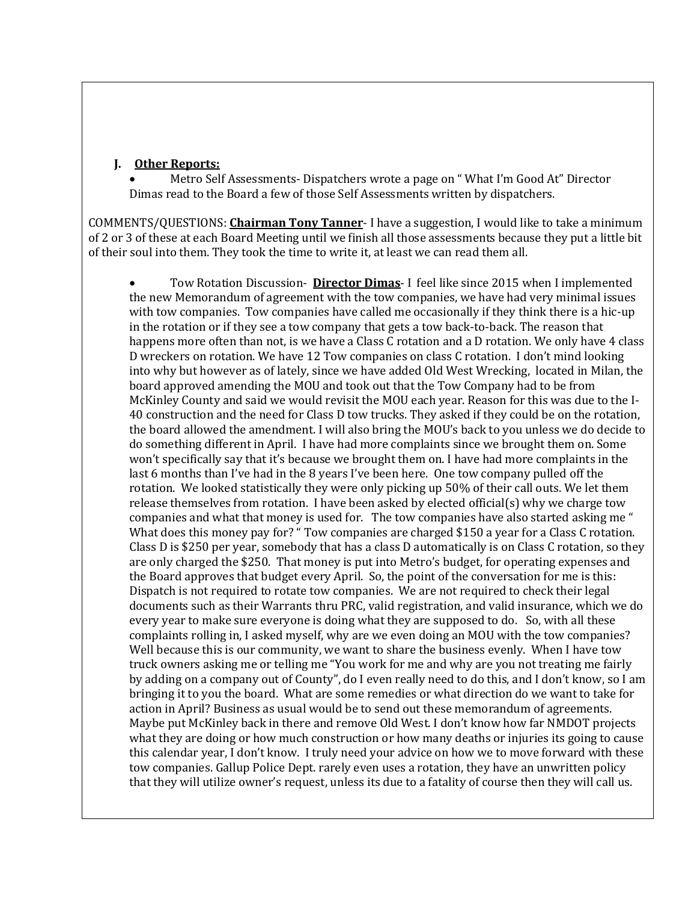### **J. Other Reports:**

• Metro Self Assessments- Dispatchers wrote a page on " What I'm Good At" Director Dimas read to the Board a few of those Self Assessments written by dispatchers.

COMMENTS/QUESTIONS: **Chairman Tony Tanner**- I have a suggestion, I would like to take a minimum of 2 or 3 of these at each Board Meeting until we finish all those assessments because they put a little bit of their soul into them. They took the time to write it, at least we can read them all.

• Tow Rotation Discussion- **Director Dimas**- I feel like since 2015 when I implemented the new Memorandum of agreement with the tow companies, we have had very minimal issues with tow companies. Tow companies have called me occasionally if they think there is a hic-up in the rotation or if they see a tow company that gets a tow back-to-back. The reason that happens more often than not, is we have a Class C rotation and a D rotation. We only have 4 class D wreckers on rotation. We have 12 Tow companies on class C rotation. I don't mind looking into why but however as of lately, since we have added Old West Wrecking, located in Milan, the board approved amending the MOU and took out that the Tow Company had to be from McKinley County and said we would revisit the MOU each year. Reason for this was due to the I-40 construction and the need for Class D tow trucks. They asked if they could be on the rotation, the board allowed the amendment. I will also bring the MOU's back to you unless we do decide to do something different in April. I have had more complaints since we brought them on. Some won't specifically say that it's because we brought them on. I have had more complaints in the last 6 months than I've had in the 8 years I've been here. One tow company pulled off the rotation. We looked statistically they were only picking up 50% of their call outs. We let them release themselves from rotation. I have been asked by elected official(s) why we charge tow companies and what that money is used for. The tow companies have also started asking me " What does this money pay for? " Tow companies are charged \$150 a year for a Class C rotation. Class D is \$250 per year, somebody that has a class D automatically is on Class C rotation, so they are only charged the \$250. That money is put into Metro's budget, for operating expenses and the Board approves that budget every April. So, the point of the conversation for me is this: Dispatch is not required to rotate tow companies. We are not required to check their legal documents such as their Warrants thru PRC, valid registration, and valid insurance, which we do every year to make sure everyone is doing what they are supposed to do. So, with all these complaints rolling in, I asked myself, why are we even doing an MOU with the tow companies? Well because this is our community, we want to share the business evenly. When I have tow truck owners asking me or telling me "You work for me and why are you not treating me fairly by adding on a company out of County", do I even really need to do this, and I don't know, so I am bringing it to you the board. What are some remedies or what direction do we want to take for action in April? Business as usual would be to send out these memorandum of agreements. Maybe put McKinley back in there and remove Old West. I don't know how far NMDOT projects what they are doing or how much construction or how many deaths or injuries its going to cause this calendar year, I don't know. I truly need your advice on how we to move forward with these tow companies. Gallup Police Dept. rarely even uses a rotation, they have an unwritten policy that they will utilize owner's request, unless its due to a fatality of course then they will call us.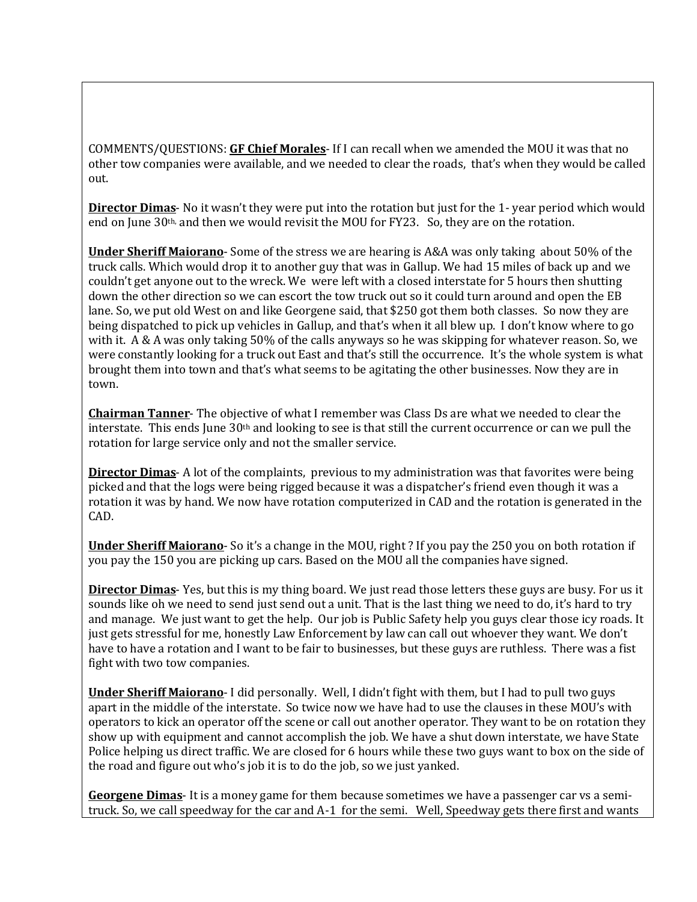COMMENTS/QUESTIONS: **GF Chief Morales**- If I can recall when we amended the MOU it was that no other tow companies were available, and we needed to clear the roads, that's when they would be called out.

**Director Dimas**- No it wasn't they were put into the rotation but just for the 1- year period which would end on June  $30<sup>th</sup>$ , and then we would revisit the MOU for FY23. So, they are on the rotation.

**Under Sheriff Maiorano**- Some of the stress we are hearing is A&A was only taking about 50% of the truck calls. Which would drop it to another guy that was in Gallup. We had 15 miles of back up and we couldn't get anyone out to the wreck. We were left with a closed interstate for 5 hours then shutting down the other direction so we can escort the tow truck out so it could turn around and open the EB lane. So, we put old West on and like Georgene said, that \$250 got them both classes. So now they are being dispatched to pick up vehicles in Gallup, and that's when it all blew up. I don't know where to go with it. A & A was only taking 50% of the calls anyways so he was skipping for whatever reason. So, we were constantly looking for a truck out East and that's still the occurrence. It's the whole system is what brought them into town and that's what seems to be agitating the other businesses. Now they are in town.

**Chairman Tanner**- The objective of what I remember was Class Ds are what we needed to clear the interstate. This ends June 30th and looking to see is that still the current occurrence or can we pull the rotation for large service only and not the smaller service.

**Director Dimas**- A lot of the complaints, previous to my administration was that favorites were being picked and that the logs were being rigged because it was a dispatcher's friend even though it was a rotation it was by hand. We now have rotation computerized in CAD and the rotation is generated in the CAD.

**Under Sheriff Maiorano**- So it's a change in the MOU, right ? If you pay the 250 you on both rotation if you pay the 150 you are picking up cars. Based on the MOU all the companies have signed.

**Director Dimas**- Yes, but this is my thing board. We just read those letters these guys are busy. For us it sounds like oh we need to send just send out a unit. That is the last thing we need to do, it's hard to try and manage. We just want to get the help. Our job is Public Safety help you guys clear those icy roads. It just gets stressful for me, honestly Law Enforcement by law can call out whoever they want. We don't have to have a rotation and I want to be fair to businesses, but these guys are ruthless. There was a fist fight with two tow companies.

**Under Sheriff Maiorano**- I did personally. Well, I didn't fight with them, but I had to pull two guys apart in the middle of the interstate. So twice now we have had to use the clauses in these MOU's with operators to kick an operator off the scene or call out another operator. They want to be on rotation they show up with equipment and cannot accomplish the job. We have a shut down interstate, we have State Police helping us direct traffic. We are closed for 6 hours while these two guys want to box on the side of the road and figure out who's job it is to do the job, so we just yanked.

**Georgene Dimas**- It is a money game for them because sometimes we have a passenger car vs a semitruck. So, we call speedway for the car and A-1 for the semi. Well, Speedway gets there first and wants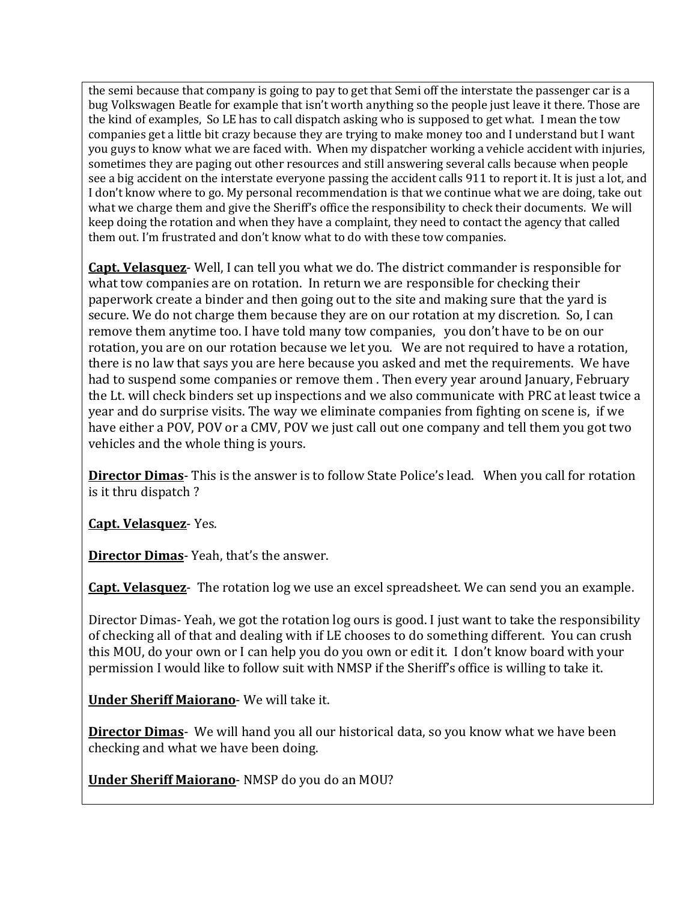the semi because that company is going to pay to get that Semi off the interstate the passenger car is a bug Volkswagen Beatle for example that isn't worth anything so the people just leave it there. Those are the kind of examples, So LE has to call dispatch asking who is supposed to get what. I mean the tow companies get a little bit crazy because they are trying to make money too and I understand but I want you guys to know what we are faced with. When my dispatcher working a vehicle accident with injuries, sometimes they are paging out other resources and still answering several calls because when people see a big accident on the interstate everyone passing the accident calls 911 to report it. It is just a lot, and I don't know where to go. My personal recommendation is that we continue what we are doing, take out what we charge them and give the Sheriff's office the responsibility to check their documents. We will keep doing the rotation and when they have a complaint, they need to contact the agency that called them out. I'm frustrated and don't know what to do with these tow companies.

**Capt. Velasquez**- Well, I can tell you what we do. The district commander is responsible for what tow companies are on rotation. In return we are responsible for checking their paperwork create a binder and then going out to the site and making sure that the yard is secure. We do not charge them because they are on our rotation at my discretion. So, I can remove them anytime too. I have told many tow companies, you don't have to be on our rotation, you are on our rotation because we let you. We are not required to have a rotation, there is no law that says you are here because you asked and met the requirements. We have had to suspend some companies or remove them . Then every year around January, February the Lt. will check binders set up inspections and we also communicate with PRC at least twice a year and do surprise visits. The way we eliminate companies from fighting on scene is, if we have either a POV, POV or a CMV, POV we just call out one company and tell them you got two vehicles and the whole thing is yours.

**Director Dimas**- This is the answer is to follow State Police's lead. When you call for rotation is it thru dispatch ?

**Capt. Velasquez**- Yes.

**Director Dimas**- Yeah, that's the answer.

**Capt. Velasquez**- The rotation log we use an excel spreadsheet. We can send you an example.

Director Dimas- Yeah, we got the rotation log ours is good. I just want to take the responsibility of checking all of that and dealing with if LE chooses to do something different. You can crush this MOU, do your own or I can help you do you own or edit it. I don't know board with your permission I would like to follow suit with NMSP if the Sheriff's office is willing to take it.

**Under Sheriff Maiorano**- We will take it.

**Director Dimas**- We will hand you all our historical data, so you know what we have been checking and what we have been doing.

**Under Sheriff Maiorano**- NMSP do you do an MOU?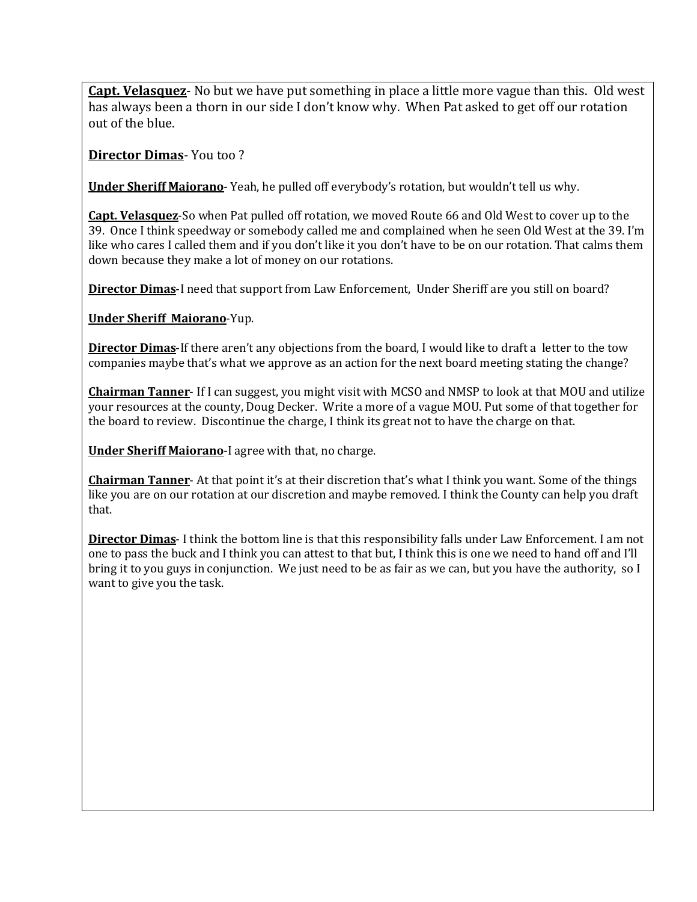**Capt. Velasquez**- No but we have put something in place a little more vague than this. Old west has always been a thorn in our side I don't know why. When Pat asked to get off our rotation out of the blue.

**Director Dimas**- You too ?

**Under Sheriff Maiorano**- Yeah, he pulled off everybody's rotation, but wouldn't tell us why.

**Capt. Velasquez**-So when Pat pulled off rotation, we moved Route 66 and Old West to cover up to the 39. Once I think speedway or somebody called me and complained when he seen Old West at the 39. I'm like who cares I called them and if you don't like it you don't have to be on our rotation. That calms them down because they make a lot of money on our rotations.

**Director Dimas**-I need that support from Law Enforcement, Under Sheriff are you still on board?

**Under Sheriff Maiorano**-Yup.

**Director Dimas**-If there aren't any objections from the board, I would like to draft a letter to the tow companies maybe that's what we approve as an action for the next board meeting stating the change?

**Chairman Tanner**- If I can suggest, you might visit with MCSO and NMSP to look at that MOU and utilize your resources at the county, Doug Decker. Write a more of a vague MOU. Put some of that together for the board to review. Discontinue the charge, I think its great not to have the charge on that.

**Under Sheriff Maiorano**-I agree with that, no charge.

**Chairman Tanner**- At that point it's at their discretion that's what I think you want. Some of the things like you are on our rotation at our discretion and maybe removed. I think the County can help you draft that.

**Director Dimas**- I think the bottom line is that this responsibility falls under Law Enforcement. I am not one to pass the buck and I think you can attest to that but, I think this is one we need to hand off and I'll bring it to you guys in conjunction. We just need to be as fair as we can, but you have the authority, so I want to give you the task.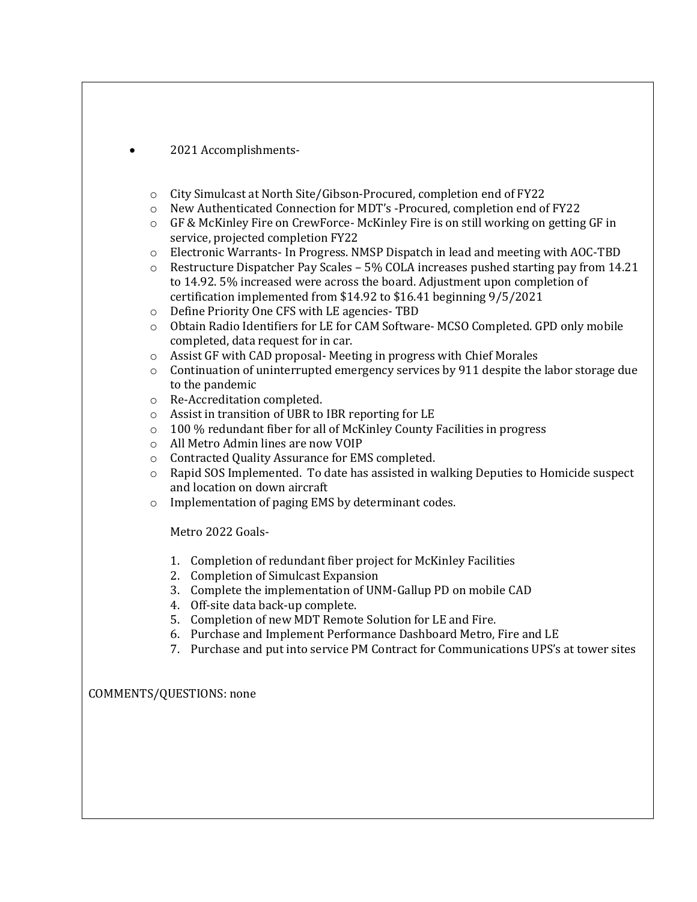• 2021 Accomplishments-

- o City Simulcast at North Site/Gibson-Procured, completion end of FY22
- o New Authenticated Connection for MDT's -Procured, completion end of FY22
- o GF & McKinley Fire on CrewForce- McKinley Fire is on still working on getting GF in service, projected completion FY22
- o Electronic Warrants- In Progress. NMSP Dispatch in lead and meeting with AOC-TBD
- $\circ$  Restructure Dispatcher Pay Scales 5% COLA increases pushed starting pay from 14.21 to 14.92. 5% increased were across the board. Adjustment upon completion of certification implemented from \$14.92 to \$16.41 beginning 9/5/2021
- o Define Priority One CFS with LE agencies- TBD
- o Obtain Radio Identifiers for LE for CAM Software- MCSO Completed. GPD only mobile completed, data request for in car.
- o Assist GF with CAD proposal- Meeting in progress with Chief Morales
- o Continuation of uninterrupted emergency services by 911 despite the labor storage due to the pandemic
- o Re-Accreditation completed.
- o Assist in transition of UBR to IBR reporting for LE
- o 100 % redundant fiber for all of McKinley County Facilities in progress
- o All Metro Admin lines are now VOIP
- o Contracted Quality Assurance for EMS completed.
- o Rapid SOS Implemented. To date has assisted in walking Deputies to Homicide suspect and location on down aircraft
- o Implementation of paging EMS by determinant codes.

Metro 2022 Goals-

- 1. Completion of redundant fiber project for McKinley Facilities
- 2. Completion of Simulcast Expansion
- 3. Complete the implementation of UNM-Gallup PD on mobile CAD
- 4. Off-site data back-up complete.
- 5. Completion of new MDT Remote Solution for LE and Fire.
- 6. Purchase and Implement Performance Dashboard Metro, Fire and LE
- 7. Purchase and put into service PM Contract for Communications UPS's at tower sites

COMMENTS/QUESTIONS: none